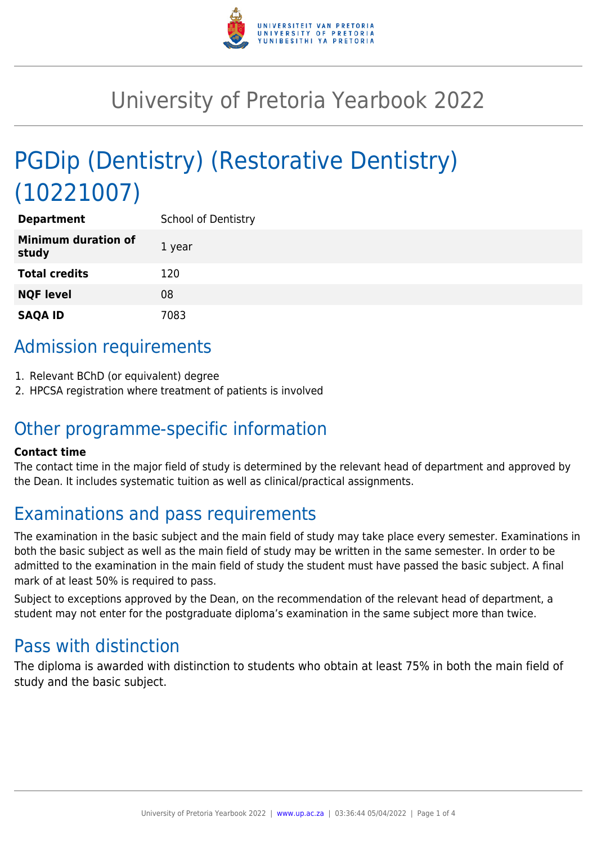

# University of Pretoria Yearbook 2022

# PGDip (Dentistry) (Restorative Dentistry) (10221007)

| <b>Department</b>                   | School of Dentistry |
|-------------------------------------|---------------------|
| <b>Minimum duration of</b><br>study | 1 year              |
| <b>Total credits</b>                | 120                 |
| <b>NQF level</b>                    | 08                  |
| <b>SAQA ID</b>                      | 7083                |

# Admission requirements

- 1. Relevant BChD (or equivalent) degree
- 2. HPCSA registration where treatment of patients is involved

## Other programme-specific information

### **Contact time**

The contact time in the major field of study is determined by the relevant head of department and approved by the Dean. It includes systematic tuition as well as clinical/practical assignments.

# Examinations and pass requirements

The examination in the basic subject and the main field of study may take place every semester. Examinations in both the basic subject as well as the main field of study may be written in the same semester. In order to be admitted to the examination in the main field of study the student must have passed the basic subject. A final mark of at least 50% is required to pass.

Subject to exceptions approved by the Dean, on the recommendation of the relevant head of department, a student may not enter for the postgraduate diploma's examination in the same subject more than twice.

## Pass with distinction

The diploma is awarded with distinction to students who obtain at least 75% in both the main field of study and the basic subject.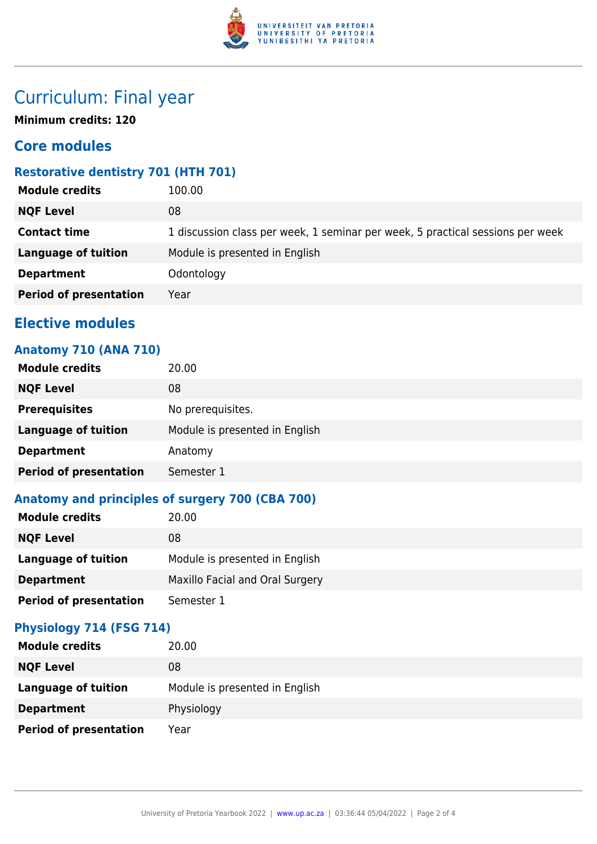

# Curriculum: Final year

**Minimum credits: 120**

## **Core modules**

## **Restorative dentistry 701 (HTH 701)**

| <b>Module credits</b>         | 100.00                                                                         |
|-------------------------------|--------------------------------------------------------------------------------|
| <b>NQF Level</b>              | 08                                                                             |
| <b>Contact time</b>           | 1 discussion class per week, 1 seminar per week, 5 practical sessions per week |
| <b>Language of tuition</b>    | Module is presented in English                                                 |
| <b>Department</b>             | Odontology                                                                     |
| <b>Period of presentation</b> | Year                                                                           |
|                               |                                                                                |

## **Elective modules**

## **Anatomy 710 (ANA 710)**

| <b>Module credits</b>         | 20.00                          |
|-------------------------------|--------------------------------|
| <b>NQF Level</b>              | 08                             |
| <b>Prerequisites</b>          | No prerequisites.              |
| <b>Language of tuition</b>    | Module is presented in English |
| <b>Department</b>             | Anatomy                        |
| <b>Period of presentation</b> | Semester 1                     |

## **Anatomy and principles of surgery 700 (CBA 700)**

| <b>Module credits</b>         | 20.00                           |
|-------------------------------|---------------------------------|
| <b>NQF Level</b>              | 08                              |
| Language of tuition           | Module is presented in English  |
| <b>Department</b>             | Maxillo Facial and Oral Surgery |
| <b>Period of presentation</b> | Semester 1                      |

## **Physiology 714 (FSG 714)**

| <b>Module credits</b>         | 20.00                          |
|-------------------------------|--------------------------------|
| <b>NQF Level</b>              | 08                             |
| Language of tuition           | Module is presented in English |
| <b>Department</b>             | Physiology                     |
| <b>Period of presentation</b> | Year                           |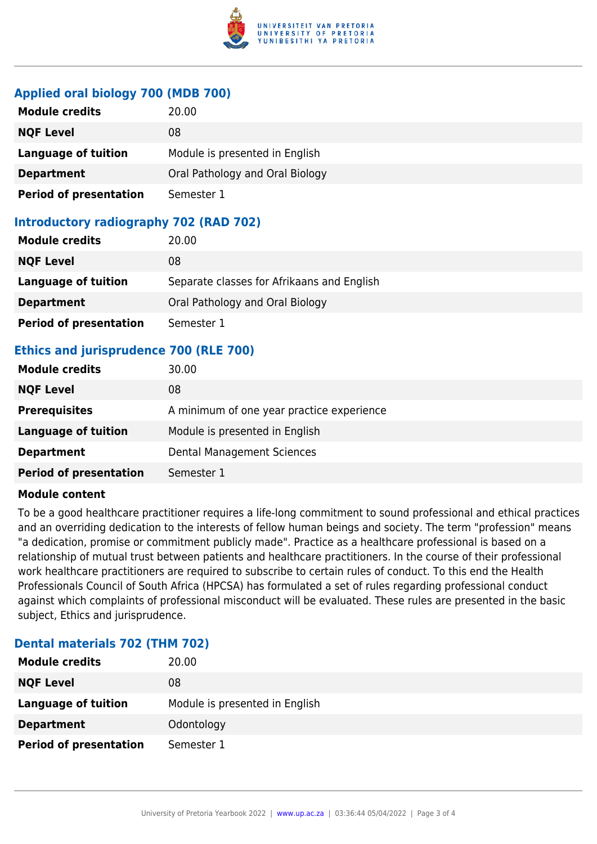

### **Applied oral biology 700 (MDB 700)**

| <b>Module credits</b>         | 20.00                           |
|-------------------------------|---------------------------------|
| <b>NQF Level</b>              | 08                              |
| <b>Language of tuition</b>    | Module is presented in English  |
| <b>Department</b>             | Oral Pathology and Oral Biology |
| <b>Period of presentation</b> | Semester 1                      |

## **Introductory radiography 702 (RAD 702)**

| <b>Module credits</b>         | 20.00                                      |
|-------------------------------|--------------------------------------------|
| <b>NQF Level</b>              | 08                                         |
| Language of tuition           | Separate classes for Afrikaans and English |
| <b>Department</b>             | Oral Pathology and Oral Biology            |
| <b>Period of presentation</b> | Semester 1                                 |

## **Ethics and jurisprudence 700 (RLE 700)**

| <b>Module credits</b>         | 30.00                                     |
|-------------------------------|-------------------------------------------|
| <b>NQF Level</b>              | 08                                        |
| <b>Prerequisites</b>          | A minimum of one year practice experience |
| Language of tuition           | Module is presented in English            |
| <b>Department</b>             | <b>Dental Management Sciences</b>         |
| <b>Period of presentation</b> | Semester 1                                |

#### **Module content**

To be a good healthcare practitioner requires a life-long commitment to sound professional and ethical practices and an overriding dedication to the interests of fellow human beings and society. The term "profession" means "a dedication, promise or commitment publicly made". Practice as a healthcare professional is based on a relationship of mutual trust between patients and healthcare practitioners. In the course of their professional work healthcare practitioners are required to subscribe to certain rules of conduct. To this end the Health Professionals Council of South Africa (HPCSA) has formulated a set of rules regarding professional conduct against which complaints of professional misconduct will be evaluated. These rules are presented in the basic subject, Ethics and jurisprudence.

### **Dental materials 702 (THM 702)**

| <b>Module credits</b>         | 20.00                          |
|-------------------------------|--------------------------------|
| <b>NQF Level</b>              | 08                             |
| <b>Language of tuition</b>    | Module is presented in English |
| <b>Department</b>             | Odontology                     |
| <b>Period of presentation</b> | Semester 1                     |